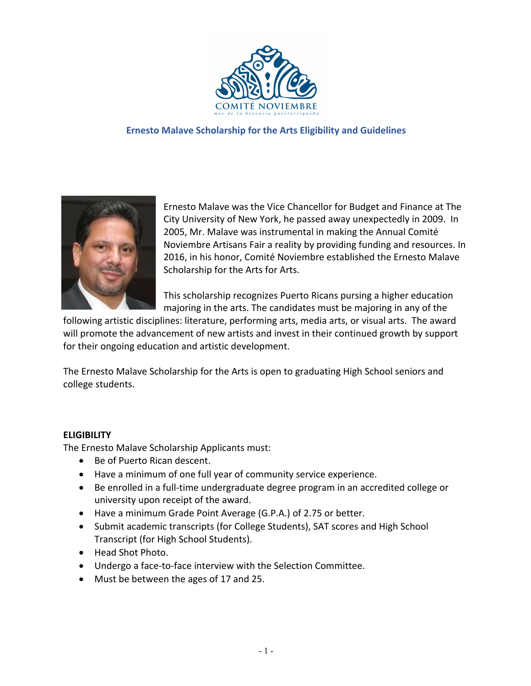

## **Ernesto Malave Scholarship for the Arts Eligibility and Guidelines**



Ernesto Malave was the Vice Chancellor for Budget and Finance at The City University of New York, he passed away unexpectedly in 2009. In 2005, Mr. Malave was instrumental in making the Annual Comité Noviembre Artisans Fair a reality by providing funding and resources. In 2016, in his honor, Comité Noviembre established the Ernesto Malave Scholarship for the Arts for Arts.

This scholarship recognizes Puerto Ricans pursing a higher education majoring in the arts. The candidates must be majoring in any of the

following artistic disciplines: literature, performing arts, media arts, or visual arts. The award will promote the advancement of new artists and invest in their continued growth by support for their ongoing education and artistic development.

The Ernesto Malave Scholarship for the Arts is open to graduating High School seniors and college students.

## **ELIGIBILITY**

The Ernesto Malave Scholarship Applicants must:

- Be of Puerto Rican descent.
- Have a minimum of one full year of community service experience.
- Be enrolled in a full-time undergraduate degree program in an accredited college or university upon receipt of the award.
- Have a minimum Grade Point Average (G.P.A.) of 2.75 or better.
- Submit academic transcripts (for College Students), SAT scores and High School Transcript (for High School Students).
- Head Shot Photo.
- Undergo a face-to-face interview with the Selection Committee.
- Must be between the ages of 17 and 25.